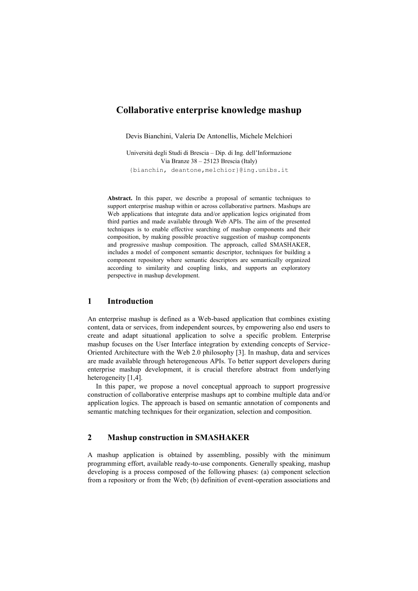# **Collaborative enterprise knowledge mashup**

Devis Bianchini, Valeria De Antonellis, Michele Melchiori

Università degli Studi di Brescia – Dip. di Ing. dell'Informazione Via Branze 38 – 25123 Brescia (Italy) {bianchin, deantone,melchior}@ing.unibs.it

**Abstract.** In this paper, we describe a proposal of semantic techniques to support enterprise mashup within or across collaborative partners. Mashups are Web applications that integrate data and/or application logics originated from third parties and made available through Web APIs. The aim of the presented techniques is to enable effective searching of mashup components and their composition, by making possible proactive suggestion of mashup components and progressive mashup composition. The approach, called SMASHAKER, includes a model of component semantic descriptor, techniques for building a component repository where semantic descriptors are semantically organized according to similarity and coupling links, and supports an exploratory perspective in mashup development.

### **1 Introduction**

An enterprise mashup is defined as a Web-based application that combines existing content, data or services, from independent sources, by empowering also end users to create and adapt situational application to solve a specific problem. Enterprise mashup focuses on the User Interface integration by extending concepts of Service-Oriented Architecture with the Web 2.0 philosophy [3]. In mashup, data and services are made available through heterogeneous APIs. To better support developers during enterprise mashup development, it is crucial therefore abstract from underlying heterogeneity [1,4].

In this paper, we propose a novel conceptual approach to support progressive construction of collaborative enterprise mashups apt to combine multiple data and/or application logics. The approach is based on semantic annotation of components and semantic matching techniques for their organization, selection and composition.

# **2 Mashup construction in SMASHAKER**

A mashup application is obtained by assembling, possibly with the minimum programming effort, available ready-to-use components. Generally speaking, mashup developing is a process composed of the following phases: (a) component selection from a repository or from the Web; (b) definition of event-operation associations and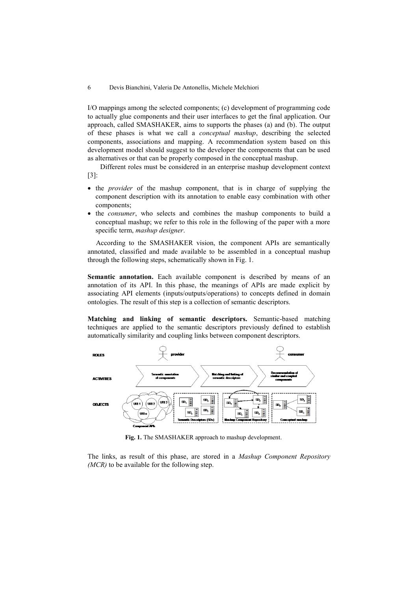#### 6 Devis Bianchini, Valeria De Antonellis, Michele Melchiori

I/O mappings among the selected components; (c) development of programming code to actually glue components and their user interfaces to get the final application. Our approach, called SMASHAKER, aims to supports the phases (a) and (b). The output of these phases is what we call a *conceptual mashup*, describing the selected components, associations and mapping. A recommendation system based on this development model should suggest to the developer the components that can be used as alternatives or that can be properly composed in the conceptual mashup.

Different roles must be considered in an enterprise mashup development context [\[3\]](#page-4-0):

- the *provider* of the mashup component, that is in charge of supplying the component description with its annotation to enable easy combination with other components;
- the *consumer*, who selects and combines the mashup components to build a conceptual mashup; we refer to this role in the following of the paper with a more specific term, *mashup designer*.

According to the SMASHAKER vision, the component APIs are semantically annotated, classified and made available to be assembled in a conceptual mashup through the following steps, schematically shown in Fig. 1.

**Semantic annotation.** Each available component is described by means of an annotation of its API. In this phase, the meanings of APIs are made explicit by associating API elements (inputs/outputs/operations) to concepts defined in domain ontologies. The result of this step is a collection of semantic descriptors.

**Matching and linking of semantic descriptors.** Semantic-based matching techniques are applied to the semantic descriptors previously defined to establish automatically similarity and coupling links between component descriptors.



**Fig. 1.** The SMASHAKER approach to mashup development.

The links, as result of this phase, are stored in a *Mashup Component Repository (MCR)* to be available for the following step.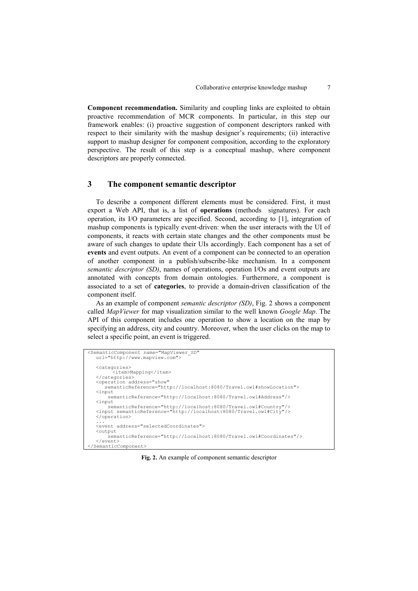**Component recommendation.** Similarity and coupling links are exploited to obtain proactive recommendation of MCR components. In particular, in this step our framework enables: (i) proactive suggestion of component descriptors ranked with respect to their similarity with the mashup designer's requirements; (ii) interactive support to mashup designer for component composition, according to the exploratory perspective. The result of this step is a conceptual mashup, where component descriptors are properly connected.

### **3 The component semantic descriptor**

To describe a component different elements must be considered. First, it must export a Web API, that is, a list of **operations** (methods signatures). For each operation, its I/O parameters are specified. Second, according to [1], integration of mashup components is typically event-driven: when the user interacts with the UI of components, it reacts with certain state changes and the other components must be aware of such changes to update their UIs accordingly. Each component has a set of **events** and event outputs. An event of a component can be connected to an operation of another component in a publish/subscribe-like mechanism. In a component *semantic descriptor (SD)*, names of operations, operation I/Os and event outputs are annotated with concepts from domain ontologies. Furthermore, a component is associated to a set of **categories**, to provide a domain-driven classification of the component itself.

As an example of component *semantic descriptor (SD)*, Fig. 2 shows a component called *MapViewer* for map visualization similar to the well known *Google Map*. The API of this component includes one operation to show a location on the map by specifying an address, city and country. Moreover, when the user clicks on the map to select a specific point, an event is triggered.

```
<SemanticComponent name="MapViewer_SD"
url="http://www.mapview.com">
   <categories>
          <item>Mapping</item>
   </categories>
   <operation address="show" 
       semanticReference="http://localhost:8080/Travel.owl#showLocation">
   <input
         semanticReference="http://localhost:8080/Travel.owl#Address"/>
   <input 
    semanticReference="http://localhost:8080/Travel.owl#Country"/>
<input semanticReference="http://localhost:8080/Travel.owl#City"/>
   </operation>
   ...
<event address="selectedCoordinates">
   <output 
         semanticReference="http://localhost:8080/Travel.owl#Coordinates"/>
   </event>
</SemanticComponent>
```
**Fig. 2.** An example of component semantic descriptor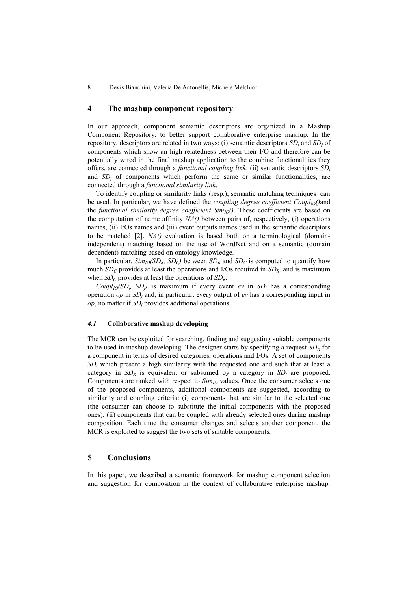#### **4 The mashup component repository**

In our approach, component semantic descriptors are organized in a Mashup Component Repository, to better support collaborative enterprise mashup. In the repository, descriptors are related in two ways: (i) semantic descriptors *SD<sup>i</sup>* and *SD<sup>j</sup>* of components which show an high relatedness between their I/O and therefore can be potentially wired in the final mashup application to the combine functionalities they offers, are connected through a *functional coupling link*; (ii) semantic descriptors *SD<sup>i</sup>* and  $SD<sub>j</sub>$  of components which perform the same or similar functionalities, are connected through a *functional similarity link*.

To identify coupling or similarity links (resp.), semantic matching techniques can be used. In particular, we have defined the *coupling degree coefficient*  $Coupl<sub>IO</sub>(\text{)}$ the *functional similarity degree coefficient*  $Sim_{IO}($ ). These coefficients are based on the computation of name affinity *NA()* between pairs of, respectively, (i) operations names, (ii) I/Os names and (iii) event outputs names used in the semantic descriptors to be matched [2]. *NA()* evaluation is based both on a terminological (domainindependent) matching based on the use of WordNet and on a semantic (domain dependent) matching based on ontology knowledge.

In particular,  $Sim_{IO}(SD_R, SD_C)$  between  $SD_R$  and  $SD_C$  is computed to quantify how much  $SD_C$  provides at least the operations and I/Os required in  $SD_R$ , and is maximum when  $SD_C$  provides at least the operations of  $SD_R$ .

*Coupl<sub>IO</sub>*( $SD<sub>i</sub>$ ,  $SD<sub>j</sub>$ ) is maximum if every event *ev* in  $SD<sub>i</sub>$  has a corresponding operation *op* in *SD<sup>j</sup>* and, in particular, every output of *ev* has a corresponding input in *op*, no matter if *SD<sup>j</sup>* provides additional operations.

#### *4.1* **Collaborative mashup developing**

The MCR can be exploited for searching, finding and suggesting suitable components to be used in mashup developing. The designer starts by specifying a request *SD<sup>R</sup>* for a component in terms of desired categories, operations and I/Os. A set of components *SD<sup>i</sup>* which present a high similarity with the requested one and such that at least a category in  $SD<sub>R</sub>$  is equivalent or subsumed by a category in  $SD<sub>i</sub>$  are proposed. Components are ranked with respect to  $Sim_{IO}$  values. Once the consumer selects one of the proposed components, additional components are suggested, according to similarity and coupling criteria: (i) components that are similar to the selected one (the consumer can choose to substitute the initial components with the proposed ones); (ii) components that can be coupled with already selected ones during mashup composition. Each time the consumer changes and selects another component, the MCR is exploited to suggest the two sets of suitable components.

## **5 Conclusions**

In this paper, we described a semantic framework for mashup component selection and suggestion for composition in the context of collaborative enterprise mashup.